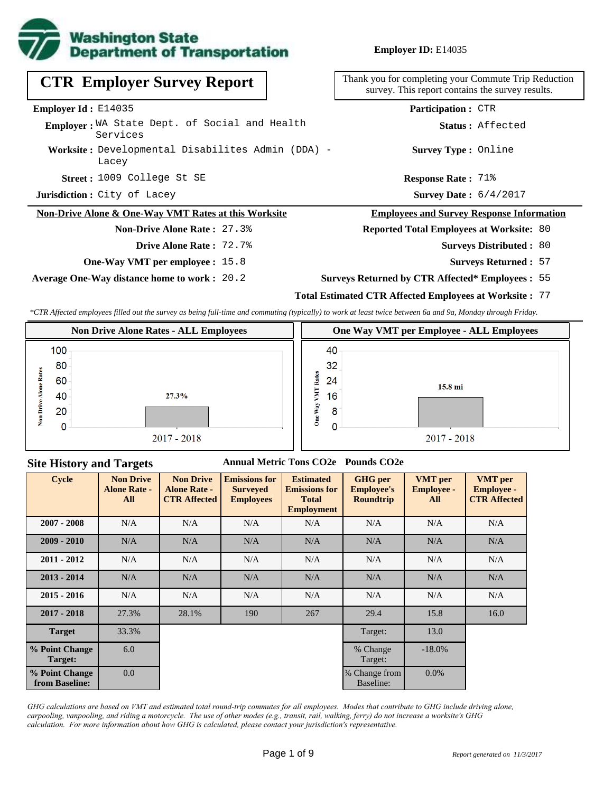

**Employer ID:** E14035

1009 College St SE **Response Rate : Street :** Survey Date:  $6/4/2017$ **Response Rate: 71% Worksite :** Developmental Disabilites Admin (DDA) - **Jurisdiction :** City of Lacey Lacey Thank you for completing your Commute Trip Reduction survey. This report contains the survey results. **Employer Id :** E14035 Employer: WA State Dept. of Social and Health Services **CTR Employer Survey Report Non-Drive Alone & One-Way VMT Rates at this Worksite Non-Drive Alone Rate :** 27.3% **One-Way VMT per employee :** 15.8 **Employees and Survey Response Information Reported Total Employees at Worksite:** 80 Surveys Distributed : 80 **Survey Type :** Online **Status :** Affected **Participation :** CTR **Drive Alone Rate :** 72.7%

**Average One-Way distance home to work :** 20.2

**Site History and Targets**

**Surveys Returned :** 57 **Surveys Returned by CTR Affected\* Employees :** 55

## **Total Estimated CTR Affected Employees at Worksite :** 77

*\*CTR Affected employees filled out the survey as being full-time and commuting (typically) to work at least twice between 6a and 9a, Monday through Friday.*



## **Annual Metric Tons CO2e Pounds CO2e**

| <b>Cycle</b>                     | <b>Non Drive</b><br><b>Alone Rate -</b><br>All | <b>Non Drive</b><br><b>Alone Rate -</b><br><b>CTR Affected</b> | <b>Emissions for</b><br><b>Surveyed</b><br><b>Employees</b> | <b>Estimated</b><br><b>Emissions for</b><br><b>Total</b><br><b>Employment</b> | <b>GHG</b> per<br><b>Employee's</b><br><b>Roundtrip</b> | <b>VMT</b> per<br><b>Employee -</b><br>All | <b>VMT</b> per<br><b>Employee -</b><br><b>CTR Affected</b> |
|----------------------------------|------------------------------------------------|----------------------------------------------------------------|-------------------------------------------------------------|-------------------------------------------------------------------------------|---------------------------------------------------------|--------------------------------------------|------------------------------------------------------------|
| $2007 - 2008$                    | N/A                                            | N/A                                                            | N/A                                                         | N/A                                                                           | N/A                                                     | N/A                                        | N/A                                                        |
| $2009 - 2010$                    | N/A                                            | N/A                                                            | N/A                                                         | N/A                                                                           | N/A                                                     | N/A                                        | N/A                                                        |
| $2011 - 2012$                    | N/A                                            | N/A                                                            | N/A                                                         | N/A                                                                           | N/A                                                     | N/A                                        | N/A                                                        |
| $2013 - 2014$                    | N/A                                            | N/A                                                            | N/A                                                         | N/A                                                                           | N/A                                                     | N/A                                        | N/A                                                        |
| $2015 - 2016$                    | N/A                                            | N/A                                                            | N/A                                                         | N/A                                                                           | N/A                                                     | N/A                                        | N/A                                                        |
| $2017 - 2018$                    | 27.3%                                          | 28.1%                                                          | 190                                                         | 267                                                                           | 29.4                                                    | 15.8                                       | 16.0                                                       |
| <b>Target</b>                    | 33.3%                                          |                                                                |                                                             |                                                                               | Target:                                                 | 13.0                                       |                                                            |
| % Point Change<br>Target:        | 6.0                                            |                                                                |                                                             |                                                                               | % Change<br>Target:                                     | $-18.0%$                                   |                                                            |
| % Point Change<br>from Baseline: | 0.0                                            |                                                                |                                                             |                                                                               | % Change from<br>Baseline:                              | $0.0\%$                                    |                                                            |

*GHG calculations are based on VMT and estimated total round-trip commutes for all employees. Modes that contribute to GHG include driving alone, carpooling, vanpooling, and riding a motorcycle. The use of other modes (e.g., transit, rail, walking, ferry) do not increase a worksite's GHG calculation. For more information about how GHG is calculated, please contact your jurisdiction's representative.*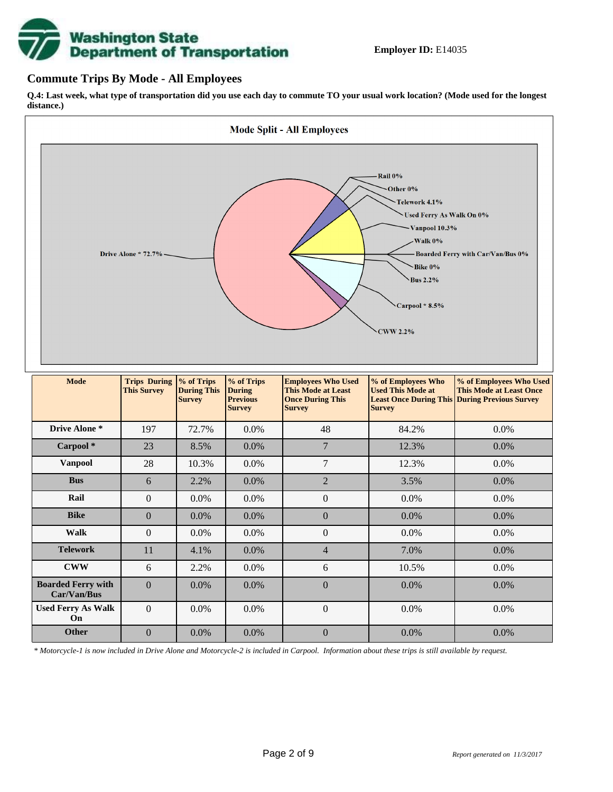

## **Commute Trips By Mode - All Employees**

**Q.4: Last week, what type of transportation did you use each day to commute TO your usual work location? (Mode used for the longest distance.)**



| <b>Vanpool</b>                           | 28             | 10.3%   | $0.0\%$ | 7                | 12.3%   | 0.0%    |
|------------------------------------------|----------------|---------|---------|------------------|---------|---------|
| <b>Bus</b>                               | 6              | 2.2%    | $0.0\%$ | $\overline{2}$   | 3.5%    | $0.0\%$ |
| Rail                                     | $\overline{0}$ | $0.0\%$ | $0.0\%$ | $\boldsymbol{0}$ | $0.0\%$ | 0.0%    |
| <b>Bike</b>                              | $\Omega$       | $0.0\%$ | 0.0%    | $\overline{0}$   | 0.0%    | 0.0%    |
| Walk                                     | $\mathbf{0}$   | 0.0%    | $0.0\%$ | $\overline{0}$   | 0.0%    | 0.0%    |
| <b>Telework</b>                          | 11             | 4.1%    | $0.0\%$ | $\overline{4}$   | 7.0%    | $0.0\%$ |
| <b>CWW</b>                               | 6              | 2.2%    | $0.0\%$ | 6                | 10.5%   | 0.0%    |
| <b>Boarded Ferry with</b><br>Car/Van/Bus | $\Omega$       | $0.0\%$ | $0.0\%$ | $\boldsymbol{0}$ | 0.0%    | 0.0%    |
| <b>Used Ferry As Walk</b><br>On.         | $\overline{0}$ | $0.0\%$ | 0.0%    | $\boldsymbol{0}$ | $0.0\%$ | $0.0\%$ |
| <b>Other</b>                             | $\Omega$       | $0.0\%$ | 0.0%    | $\overline{0}$   | 0.0%    | 0.0%    |

*\* Motorcycle-1 is now included in Drive Alone and Motorcycle-2 is included in Carpool. Information about these trips is still available by request.*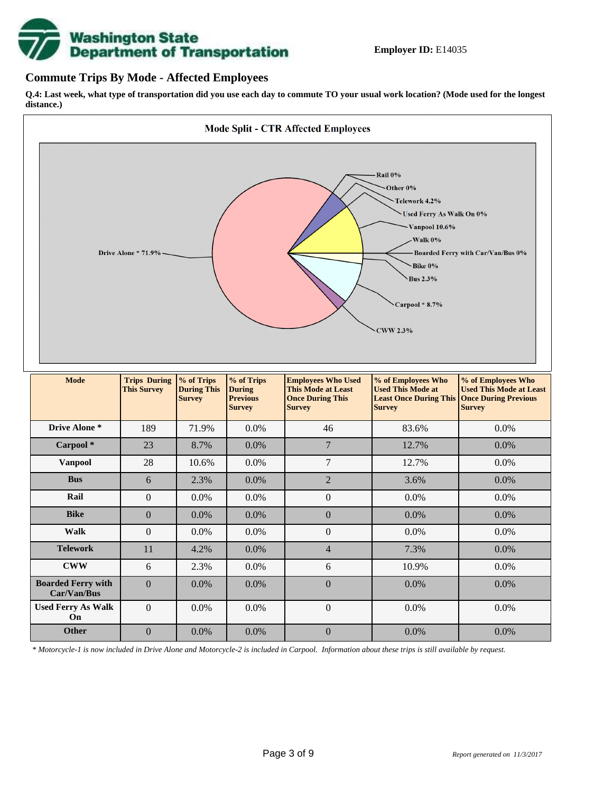

## **Commute Trips By Mode - Affected Employees**

**Q.4: Last week, what type of transportation did you use each day to commute TO your usual work location? (Mode used for the longest distance.)**



*\* Motorcycle-1 is now included in Drive Alone and Motorcycle-2 is included in Carpool. Information about these trips is still available by request.*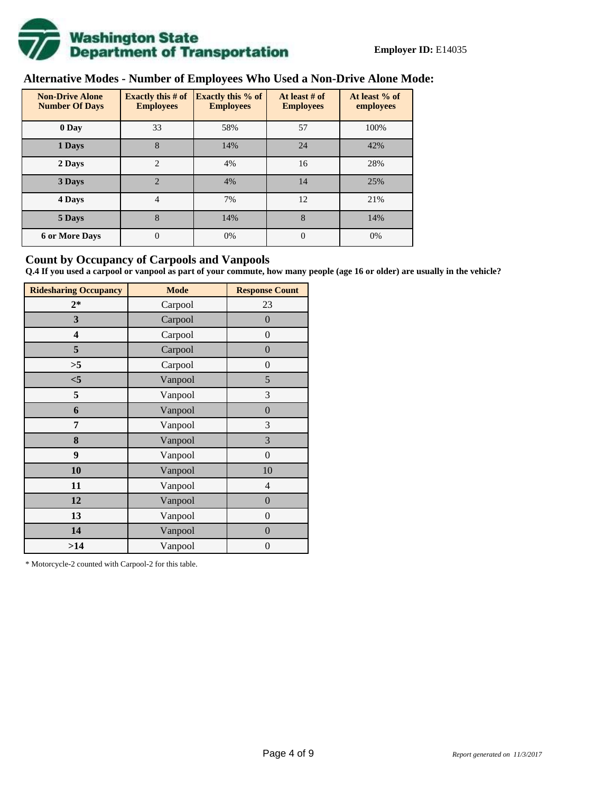

# **Alternative Modes - Number of Employees Who Used a Non-Drive Alone Mode:**

| <b>Non-Drive Alone</b><br><b>Number Of Days</b> | <b>Exactly this # of</b><br><b>Employees</b> | <b>Exactly this % of</b><br><b>Employees</b> | At least # of<br><b>Employees</b> | At least % of<br>employees |
|-------------------------------------------------|----------------------------------------------|----------------------------------------------|-----------------------------------|----------------------------|
| 0 Day                                           | 33                                           | 58%                                          | 57                                | 100%                       |
| 1 Days                                          | 8                                            | 14%                                          | 24                                | 42%                        |
| 2 Days                                          | $\overline{c}$                               | 4%                                           | 16                                | 28%                        |
| 3 Days                                          | $\overline{2}$                               | 4%                                           | 14                                | 25%                        |
| 4 Days                                          | $\overline{4}$                               | 7%                                           | 12                                | 21%                        |
| 5 Days                                          | 8                                            | 14%                                          | 8                                 | 14%                        |
| <b>6 or More Days</b>                           | $\theta$                                     | 0%                                           | $\Omega$                          | 0%                         |

## **Count by Occupancy of Carpools and Vanpools**

**Q.4 If you used a carpool or vanpool as part of your commute, how many people (age 16 or older) are usually in the vehicle?**

| <b>Ridesharing Occupancy</b> | <b>Mode</b> | <b>Response Count</b> |
|------------------------------|-------------|-----------------------|
| $2*$                         | Carpool     | 23                    |
| 3                            | Carpool     | $\overline{0}$        |
| 4                            | Carpool     | $\boldsymbol{0}$      |
| 5                            | Carpool     | $\boldsymbol{0}$      |
| >5                           | Carpool     | $\overline{0}$        |
| $<$ 5                        | Vanpool     | 5                     |
| 5                            | Vanpool     | 3                     |
| 6                            | Vanpool     | $\boldsymbol{0}$      |
| 7                            | Vanpool     | 3                     |
| 8                            | Vanpool     | 3                     |
| 9                            | Vanpool     | $\overline{0}$        |
| 10                           | Vanpool     | 10                    |
| 11                           | Vanpool     | $\overline{4}$        |
| 12                           | Vanpool     | $\boldsymbol{0}$      |
| 13                           | Vanpool     | $\boldsymbol{0}$      |
| 14                           | Vanpool     | $\overline{0}$        |
| >14                          | Vanpool     | $\boldsymbol{0}$      |

\* Motorcycle-2 counted with Carpool-2 for this table.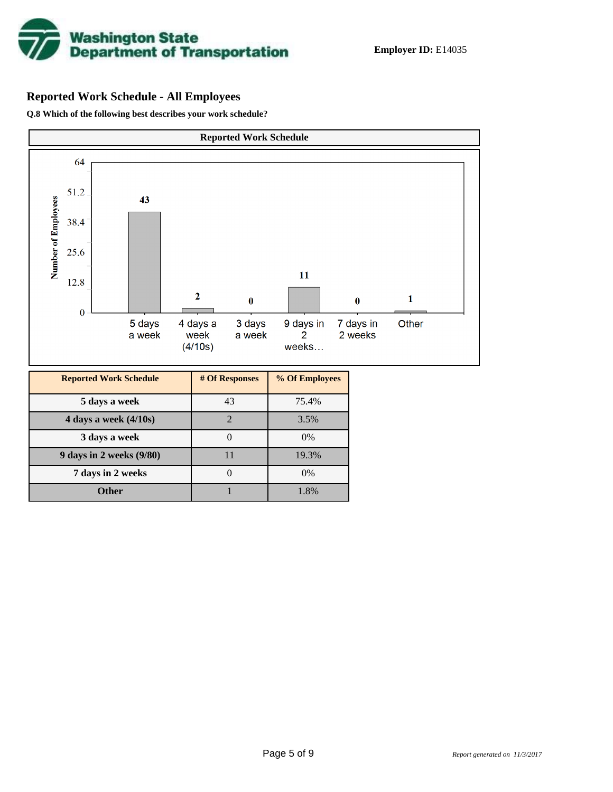

## **Reported Work Schedule - All Employees**

**Q.8 Which of the following best describes your work schedule?**

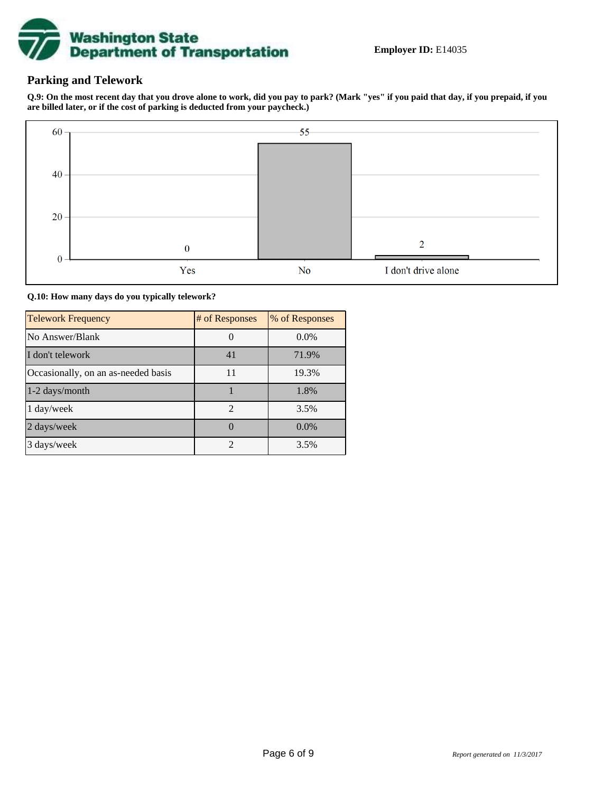

## **Parking and Telework**

**Q.9: On the most recent day that you drove alone to work, did you pay to park? (Mark "yes" if you paid that day, if you prepaid, if you are billed later, or if the cost of parking is deducted from your paycheck.)**



**Q.10: How many days do you typically telework?**

| <b>Telework Frequency</b>           | # of Responses | % of Responses |
|-------------------------------------|----------------|----------------|
| No Answer/Blank                     |                | $0.0\%$        |
| I don't telework                    | 41             | 71.9%          |
| Occasionally, on an as-needed basis | 11             | 19.3%          |
| 1-2 days/month                      |                | 1.8%           |
| 1 day/week                          | $\overline{2}$ | 3.5%           |
| 2 days/week                         |                | $0.0\%$        |
| 3 days/week                         | $\mathfrak{D}$ | 3.5%           |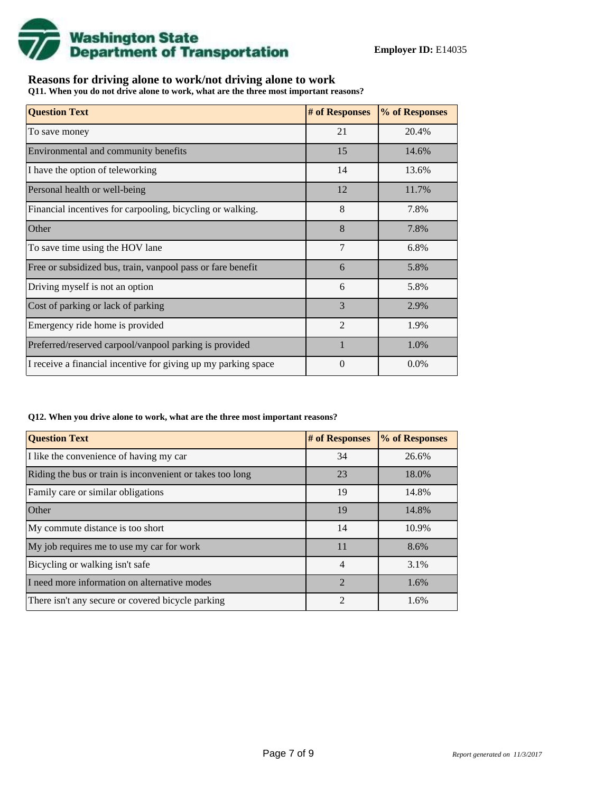

## **Reasons for driving alone to work/not driving alone to work**

**Q11. When you do not drive alone to work, what are the three most important reasons?**

| <b>Question Text</b>                                           | # of Responses | % of Responses |
|----------------------------------------------------------------|----------------|----------------|
| To save money                                                  | 21             | 20.4%          |
| Environmental and community benefits                           | 15             | 14.6%          |
| I have the option of teleworking                               | 14             | 13.6%          |
| Personal health or well-being                                  | 12             | 11.7%          |
| Financial incentives for carpooling, bicycling or walking.     | 8              | 7.8%           |
| Other                                                          | 8              | 7.8%           |
| To save time using the HOV lane                                | 7              | 6.8%           |
| Free or subsidized bus, train, vanpool pass or fare benefit    | 6              | 5.8%           |
| Driving myself is not an option                                | 6              | 5.8%           |
| Cost of parking or lack of parking                             | 3              | 2.9%           |
| Emergency ride home is provided                                | $\mathfrak{D}$ | 1.9%           |
| Preferred/reserved carpool/vanpool parking is provided         | $\mathbf{1}$   | 1.0%           |
| I receive a financial incentive for giving up my parking space | $\Omega$       | $0.0\%$        |

#### **Q12. When you drive alone to work, what are the three most important reasons?**

| <b>Question Text</b>                                      | # of Responses              | % of Responses |
|-----------------------------------------------------------|-----------------------------|----------------|
| I like the convenience of having my car                   | 34                          | 26.6%          |
| Riding the bus or train is inconvenient or takes too long | 23                          | 18.0%          |
| Family care or similar obligations                        | 19                          | 14.8%          |
| <b>Other</b>                                              | 19                          | 14.8%          |
| My commute distance is too short                          | 14                          | 10.9%          |
| My job requires me to use my car for work                 | 11                          | 8.6%           |
| Bicycling or walking isn't safe                           | $\overline{4}$              | 3.1%           |
| I need more information on alternative modes              | $\mathcal{D}_{\mathcal{A}}$ | 1.6%           |
| There isn't any secure or covered bicycle parking         | $\mathfrak{D}$              | 1.6%           |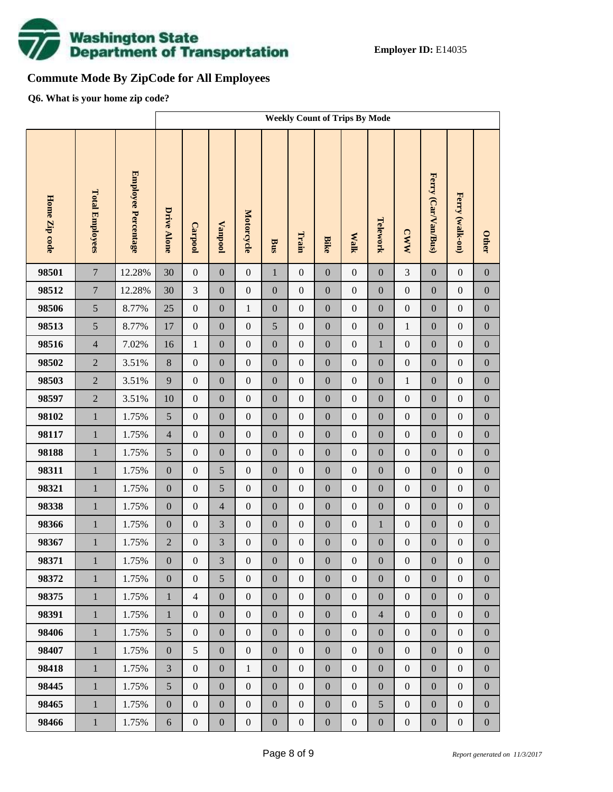

# **Commute Mode By ZipCode for All Employees**

**Q6. What is your home zip code?**

|               |                        |                     |                    | <b>Weekly Count of Trips By Mode</b> |                  |                  |                  |                  |                  |                  |                  |                  |                     |                  |                  |
|---------------|------------------------|---------------------|--------------------|--------------------------------------|------------------|------------------|------------------|------------------|------------------|------------------|------------------|------------------|---------------------|------------------|------------------|
| Home Zip code | <b>Total Employees</b> | Employee Percentage | <b>Drive Alone</b> | Carpool                              | <b>Vanpool</b>   | Motorcycle       | <b>Bus</b>       | Train            | <b>Bike</b>      | <b>Walk</b>      | Telework         | <b>CWW</b>       | Ferry (Car/Van/Bus) | Ferry (walk-on)  | <b>Other</b>     |
| 98501         | $\overline{7}$         | 12.28%              | 30                 | $\boldsymbol{0}$                     | $\boldsymbol{0}$ | $\boldsymbol{0}$ | $\mathbf{1}$     | $\boldsymbol{0}$ | $\overline{0}$   | $\boldsymbol{0}$ | $\boldsymbol{0}$ | 3                | $\mathbf{0}$        | $\boldsymbol{0}$ | $\boldsymbol{0}$ |
| 98512         | $\overline{7}$         | 12.28%              | 30                 | 3                                    | $\boldsymbol{0}$ | $\boldsymbol{0}$ | $\boldsymbol{0}$ | $\boldsymbol{0}$ | $\boldsymbol{0}$ | $\boldsymbol{0}$ | $\boldsymbol{0}$ | $\boldsymbol{0}$ | $\boldsymbol{0}$    | $\boldsymbol{0}$ | $\boldsymbol{0}$ |
| 98506         | 5                      | 8.77%               | 25                 | $\boldsymbol{0}$                     | $\boldsymbol{0}$ | $\mathbf{1}$     | $\boldsymbol{0}$ | $\boldsymbol{0}$ | $\boldsymbol{0}$ | $\boldsymbol{0}$ | $\boldsymbol{0}$ | $\boldsymbol{0}$ | $\boldsymbol{0}$    | $\boldsymbol{0}$ | $\boldsymbol{0}$ |
| 98513         | 5                      | 8.77%               | 17                 | $\boldsymbol{0}$                     | $\boldsymbol{0}$ | $\boldsymbol{0}$ | 5                | $\boldsymbol{0}$ | $\overline{0}$   | $\boldsymbol{0}$ | $\boldsymbol{0}$ | $\mathbf{1}$     | $\boldsymbol{0}$    | $\boldsymbol{0}$ | $\boldsymbol{0}$ |
| 98516         | $\overline{4}$         | 7.02%               | 16                 | $\mathbf{1}$                         | $\boldsymbol{0}$ | $\boldsymbol{0}$ | $\boldsymbol{0}$ | $\boldsymbol{0}$ | $\boldsymbol{0}$ | $\boldsymbol{0}$ | $\mathbf{1}$     | $\boldsymbol{0}$ | $\boldsymbol{0}$    | $\boldsymbol{0}$ | $\boldsymbol{0}$ |
| 98502         | $\overline{2}$         | 3.51%               | $8\,$              | $\boldsymbol{0}$                     | $\boldsymbol{0}$ | $\boldsymbol{0}$ | $\boldsymbol{0}$ | $\boldsymbol{0}$ | $\overline{0}$   | $\boldsymbol{0}$ | $\boldsymbol{0}$ | $\boldsymbol{0}$ | $\boldsymbol{0}$    | $\boldsymbol{0}$ | $\boldsymbol{0}$ |
| 98503         | $\overline{2}$         | 3.51%               | 9                  | $\boldsymbol{0}$                     | $\boldsymbol{0}$ | $\boldsymbol{0}$ | $\boldsymbol{0}$ | $\boldsymbol{0}$ | $\boldsymbol{0}$ | $\boldsymbol{0}$ | $\boldsymbol{0}$ | $\mathbf{1}$     | $\boldsymbol{0}$    | $\boldsymbol{0}$ | $\boldsymbol{0}$ |
| 98597         | $\overline{2}$         | 3.51%               | 10                 | $\boldsymbol{0}$                     | $\boldsymbol{0}$ | $\boldsymbol{0}$ | $\boldsymbol{0}$ | $\boldsymbol{0}$ | $\overline{0}$   | $\boldsymbol{0}$ | $\boldsymbol{0}$ | $\boldsymbol{0}$ | $\boldsymbol{0}$    | $\boldsymbol{0}$ | $\boldsymbol{0}$ |
| 98102         | $\mathbf{1}$           | 1.75%               | 5                  | $\boldsymbol{0}$                     | $\boldsymbol{0}$ | $\boldsymbol{0}$ | $\boldsymbol{0}$ | $\boldsymbol{0}$ | $\boldsymbol{0}$ | $\boldsymbol{0}$ | $\boldsymbol{0}$ | $\boldsymbol{0}$ | $\boldsymbol{0}$    | $\boldsymbol{0}$ | $\boldsymbol{0}$ |
| 98117         | $\mathbf 1$            | 1.75%               | $\overline{4}$     | $\boldsymbol{0}$                     | $\boldsymbol{0}$ | $\boldsymbol{0}$ | $\boldsymbol{0}$ | $\boldsymbol{0}$ | $\overline{0}$   | $\boldsymbol{0}$ | $\boldsymbol{0}$ | $\boldsymbol{0}$ | $\boldsymbol{0}$    | $\boldsymbol{0}$ | $\boldsymbol{0}$ |
| 98188         | $\mathbf{1}$           | 1.75%               | 5                  | $\boldsymbol{0}$                     | $\boldsymbol{0}$ | $\boldsymbol{0}$ | $\boldsymbol{0}$ | $\boldsymbol{0}$ | $\boldsymbol{0}$ | $\boldsymbol{0}$ | $\boldsymbol{0}$ | $\boldsymbol{0}$ | $\boldsymbol{0}$    | $\boldsymbol{0}$ | $\boldsymbol{0}$ |
| 98311         | $\mathbf 1$            | 1.75%               | $\boldsymbol{0}$   | $\boldsymbol{0}$                     | 5                | $\boldsymbol{0}$ | $\boldsymbol{0}$ | $\boldsymbol{0}$ | $\boldsymbol{0}$ | $\boldsymbol{0}$ | $\boldsymbol{0}$ | $\boldsymbol{0}$ | $\boldsymbol{0}$    | $\boldsymbol{0}$ | $\boldsymbol{0}$ |
| 98321         | $\mathbf{1}$           | 1.75%               | $\boldsymbol{0}$   | $\boldsymbol{0}$                     | 5                | $\boldsymbol{0}$ | $\boldsymbol{0}$ | $\boldsymbol{0}$ | $\boldsymbol{0}$ | $\boldsymbol{0}$ | $\boldsymbol{0}$ | $\boldsymbol{0}$ | $\boldsymbol{0}$    | $\boldsymbol{0}$ | $\boldsymbol{0}$ |
| 98338         | $\mathbf{1}$           | 1.75%               | $\boldsymbol{0}$   | $\boldsymbol{0}$                     | $\overline{4}$   | $\boldsymbol{0}$ | $\boldsymbol{0}$ | $\boldsymbol{0}$ | $\overline{0}$   | $\boldsymbol{0}$ | $\boldsymbol{0}$ | $\boldsymbol{0}$ | $\boldsymbol{0}$    | $\boldsymbol{0}$ | $\boldsymbol{0}$ |
| 98366         | $\mathbf 1$            | 1.75%               | $\boldsymbol{0}$   | $\boldsymbol{0}$                     | 3                | $\boldsymbol{0}$ | $\boldsymbol{0}$ | $\boldsymbol{0}$ | $\boldsymbol{0}$ | $\boldsymbol{0}$ | $\mathbf{1}$     | $\boldsymbol{0}$ | $\boldsymbol{0}$    | $\boldsymbol{0}$ | $\boldsymbol{0}$ |
| 98367         | $\,1$                  | 1.75%               | $\sqrt{2}$         | $\boldsymbol{0}$                     | 3                | $\boldsymbol{0}$ | $\boldsymbol{0}$ | $\boldsymbol{0}$ | $\mathbf{0}$     | $\boldsymbol{0}$ | $\boldsymbol{0}$ | $\boldsymbol{0}$ | $\boldsymbol{0}$    | $\boldsymbol{0}$ | $\boldsymbol{0}$ |
| 98371         | $\mathbf{1}$           | 1.75%               | $\boldsymbol{0}$   | $\boldsymbol{0}$                     | $\overline{3}$   | $\boldsymbol{0}$ | $\boldsymbol{0}$ | $\boldsymbol{0}$ | $\boldsymbol{0}$ | $\mathbf{0}$     | $\boldsymbol{0}$ | $\boldsymbol{0}$ | $\boldsymbol{0}$    | $\boldsymbol{0}$ | $\boldsymbol{0}$ |
| 98372         | $\mathbf{1}$           | 1.75%               | $\boldsymbol{0}$   | $\boldsymbol{0}$                     | 5                | $\boldsymbol{0}$ | $\boldsymbol{0}$ | $\boldsymbol{0}$ | $\overline{0}$   | $\boldsymbol{0}$ | $\boldsymbol{0}$ | $\boldsymbol{0}$ | $\boldsymbol{0}$    | $\boldsymbol{0}$ | $\overline{0}$   |
| 98375         | $\mathbf{1}$           | 1.75%               | $\mathbf{1}$       | $\overline{4}$                       | $\boldsymbol{0}$ | $\boldsymbol{0}$ | $\boldsymbol{0}$ | $\boldsymbol{0}$ | $\overline{0}$   | $\boldsymbol{0}$ | $\boldsymbol{0}$ | $\boldsymbol{0}$ | $\boldsymbol{0}$    | $\boldsymbol{0}$ | $\boldsymbol{0}$ |
| 98391         | $\mathbf{1}$           | 1.75%               | $\mathbf{1}$       | $\boldsymbol{0}$                     | $\boldsymbol{0}$ | $\boldsymbol{0}$ | $\boldsymbol{0}$ | $\boldsymbol{0}$ | $\boldsymbol{0}$ | $\boldsymbol{0}$ | $\overline{4}$   | $\boldsymbol{0}$ | $\boldsymbol{0}$    | $\boldsymbol{0}$ | $\boldsymbol{0}$ |
| 98406         | $\mathbf{1}$           | 1.75%               | 5                  | $\boldsymbol{0}$                     | $\boldsymbol{0}$ | $\boldsymbol{0}$ | $\overline{0}$   | $\boldsymbol{0}$ | $\overline{0}$   | $\boldsymbol{0}$ | $\boldsymbol{0}$ | $\boldsymbol{0}$ | $\boldsymbol{0}$    | $\boldsymbol{0}$ | $\boldsymbol{0}$ |
| 98407         | $\mathbf{1}$           | 1.75%               | $\boldsymbol{0}$   | 5                                    | $\boldsymbol{0}$ | $\boldsymbol{0}$ | $\boldsymbol{0}$ | $\boldsymbol{0}$ | $\boldsymbol{0}$ | $\boldsymbol{0}$ | $\boldsymbol{0}$ | $\boldsymbol{0}$ | $\boldsymbol{0}$    | $\boldsymbol{0}$ | $\boldsymbol{0}$ |
| 98418         | $\mathbf{1}$           | 1.75%               | $\overline{3}$     | $\boldsymbol{0}$                     | $\boldsymbol{0}$ | $\mathbf{1}$     | $\overline{0}$   | $\mathbf{0}$     | $\overline{0}$   | $\boldsymbol{0}$ | $\boldsymbol{0}$ | $\boldsymbol{0}$ | $\boldsymbol{0}$    | $\boldsymbol{0}$ | $\boldsymbol{0}$ |
| 98445         | $\mathbf{1}$           | 1.75%               | 5                  | $\boldsymbol{0}$                     | $\boldsymbol{0}$ | $\boldsymbol{0}$ | $\boldsymbol{0}$ | $\boldsymbol{0}$ | $\boldsymbol{0}$ | $\boldsymbol{0}$ | $\boldsymbol{0}$ | $\boldsymbol{0}$ | $\boldsymbol{0}$    | $\boldsymbol{0}$ | $\boldsymbol{0}$ |
| 98465         | $\mathbf{1}$           | 1.75%               | $\boldsymbol{0}$   | $\boldsymbol{0}$                     | $\boldsymbol{0}$ | $\boldsymbol{0}$ | $\boldsymbol{0}$ | $\boldsymbol{0}$ | $\overline{0}$   | $\boldsymbol{0}$ | 5                | $\boldsymbol{0}$ | $\boldsymbol{0}$    | $\boldsymbol{0}$ | $\boldsymbol{0}$ |
| 98466         | $1\,$                  | 1.75%               | $\boldsymbol{6}$   | $\boldsymbol{0}$                     | $\boldsymbol{0}$ | $\boldsymbol{0}$ | $\boldsymbol{0}$ | $\boldsymbol{0}$ | $\boldsymbol{0}$ | $\boldsymbol{0}$ | $\boldsymbol{0}$ | $\boldsymbol{0}$ | $\boldsymbol{0}$    | $\boldsymbol{0}$ | $\boldsymbol{0}$ |